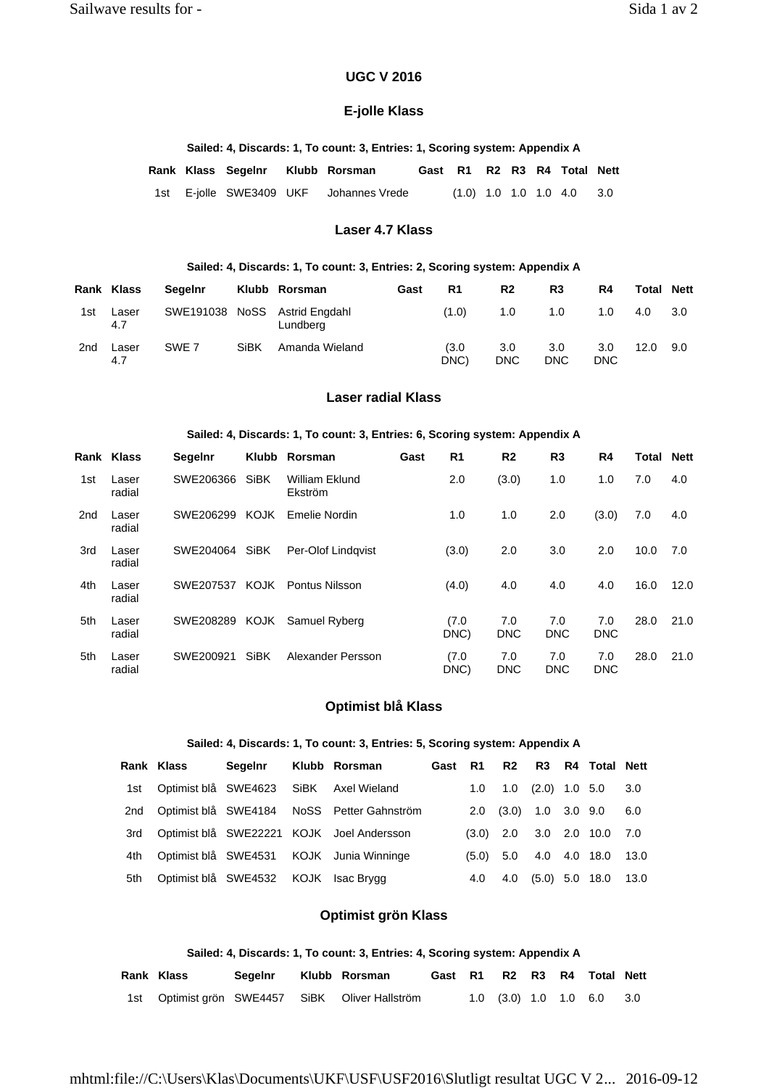# **UGC V 2016**

# **E-jolle Klass**

### **Sailed: 4, Discards: 1, To count: 3, Entries: 1, Scoring system: Appendix A**

|  | Rank Klass Segelnr Klubb Rorsman |                                        |  |  | Gast R1 R2 R3 R4 Total Nett |  |
|--|----------------------------------|----------------------------------------|--|--|-----------------------------|--|
|  |                                  | 1st E-jolle SWE3409 UKF Johannes Vrede |  |  | $(1.0)$ 1.0 1.0 1.0 4.0 3.0 |  |

## **Laser 4.7 Klass**

### **Sailed: 4, Discards: 1, To count: 3, Entries: 2, Scoring system: Appendix A**

|     | Rank Klass   | Segelnr          |      | Klubb Rorsman                             | Gast | R1           | R <sub>2</sub>                 | R <sub>3</sub>    | R4                | Total | <b>Nett</b> |
|-----|--------------|------------------|------|-------------------------------------------|------|--------------|--------------------------------|-------------------|-------------------|-------|-------------|
| 1st | Laser<br>4.7 |                  |      | SWE191038 NoSS Astrid Engdahl<br>Lundberg |      | (1.0)        | 1.0                            | 1.0               | 1.0               | 4.0   | 3.0         |
| 2nd | Laser<br>4.7 | SWE <sub>7</sub> | SiBK | Amanda Wieland                            |      | (3.0<br>DNC) | 3.0 <sub>2</sub><br><b>DNC</b> | 3.0<br><b>DNC</b> | 3.0<br><b>DNC</b> | 12.0  | 9.0         |

## **Laser radial Klass**

#### **Sailed: 4, Discards: 1, To count: 3, Entries: 6, Scoring system: Appendix A**

|                 | Rank Klass      | <b>Segelnr</b> |             | Klubb Rorsman             | Gast | R <sub>1</sub> | R <sub>2</sub>    | R <sub>3</sub>    | R4                | Total | <b>Nett</b> |
|-----------------|-----------------|----------------|-------------|---------------------------|------|----------------|-------------------|-------------------|-------------------|-------|-------------|
| 1st             | Laser<br>radial | SWE206366      | <b>SiBK</b> | William Eklund<br>Ekström |      | 2.0            | (3.0)             | 1.0               | 1.0               | 7.0   | 4.0         |
| 2 <sub>nd</sub> | Laser<br>radial | SWE206299      | KOJK        | Emelie Nordin             |      | 1.0            | 1.0               | 2.0               | (3.0)             | 7.0   | 4.0         |
| 3rd             | Laser<br>radial | SWE204064      | SiBK        | Per-Olof Lindgvist        |      | (3.0)          | 2.0               | 3.0               | 2.0               | 10.0  | 7.0         |
| 4th             | Laser<br>radial | SWE207537      | <b>KOJK</b> | <b>Pontus Nilsson</b>     |      | (4.0)          | 4.0               | 4.0               | 4.0               | 16.0  | 12.0        |
| 5th             | Laser<br>radial | SWE208289      | KOJK        | Samuel Ryberg             |      | (7.0)<br>DNC)  | 7.0<br><b>DNC</b> | 7.0<br><b>DNC</b> | 7.0<br><b>DNC</b> | 28.0  | 21.0        |
| 5th             | Laser<br>radial | SWE200921      | <b>SiBK</b> | Alexander Persson         |      | (7.0<br>DNC)   | 7.0<br><b>DNC</b> | 7.0<br><b>DNC</b> | 7.0<br><b>DNC</b> | 28.0  | 21.0        |

# **Optimist blå Klass**

### **Sailed: 4, Discards: 1, To count: 3, Entries: 5, Scoring system: Appendix A**

|     | Rank Klass                           | Segelnr Klubb Rorsman |                                                | Gast R1 |     |                                 | R2 R3 R4 Total Nett                   |     |  |
|-----|--------------------------------------|-----------------------|------------------------------------------------|---------|-----|---------------------------------|---------------------------------------|-----|--|
|     |                                      |                       | 1st Optimist blå SWE4623 SiBK Axel Wieland     |         |     |                                 | $1.0$ $1.0$ $(2.0)$ $1.0$ $5.0$ $3.0$ |     |  |
|     |                                      |                       | 2nd Optimist blå SWE4184 NoSS Petter Gahnström |         |     | $2.0$ $(3.0)$ $1.0$ $3.0$ $9.0$ |                                       | 6.0 |  |
|     |                                      |                       | 3rd Optimist blå SWE22221 KOJK Joel Andersson  |         |     |                                 | $(3.0)$ 2.0 3.0 2.0 10.0 7.0          |     |  |
|     |                                      |                       | 4th Optimist blå SWE4531 KOJK Junia Winninge   |         |     |                                 | $(5.0)$ 5.0 4.0 4.0 18.0 13.0         |     |  |
| 5th | Optimist blå SWE4532 KOJK Isac Brygg |                       |                                                | 4.0     | 4.0 |                                 | $(5.0)$ 5.0 18.0 13.0                 |     |  |

# **Optimist grön Klass**

| Sailed: 4, Discards: 1, To count: 3, Entries: 4, Scoring system: Appendix A |  |  |  |
|-----------------------------------------------------------------------------|--|--|--|
|-----------------------------------------------------------------------------|--|--|--|

| Rank Klass | Segelnr | Klubb Rorsman                                   | Gast R1 R2 R3 R4 Total Nett |  |  |                                       |  |
|------------|---------|-------------------------------------------------|-----------------------------|--|--|---------------------------------------|--|
|            |         | 1st Optimist grön SWE4457 SiBK Oliver Hallström |                             |  |  | $1.0$ $(3.0)$ $1.0$ $1.0$ $6.0$ $3.0$ |  |